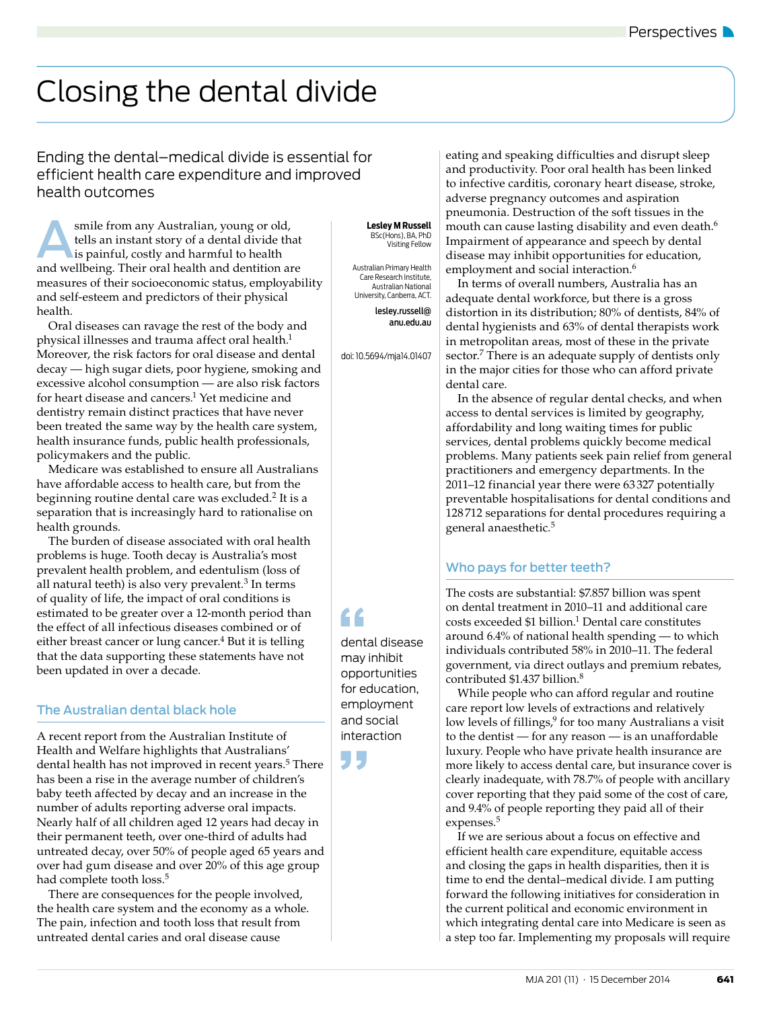# Closing the dental divide

## Ending the dental–medical divide is essential for efficient health care expenditure and improved health outcomes

smile from any Australian, young or old,<br>tells an instant story of a dental divide the<br>is painful, costly and harmful to health<br>and wellbeing. Their oral health and dentition an tells an instant story of a dental divide that is painful, costly and harmful to health and wellbeing. Their oral health and dentition are measures of their socioeconomic status, employability and self-esteem and predictors of their physical health.

Oral diseases can ravage the rest of the body and physical illnesses and trauma affect oral health.<sup>1</sup> Moreover, the risk factors for oral disease and dental decay — high sugar diets, poor hygiene, smoking and excessive alcohol consumption — are also risk factors for heart disease and cancers.<sup>1</sup> Yet medicine and dentistry remain distinct practices that have never been treated the same way by the health care system, health insurance funds, public health professionals, policymakers and the public.

Medicare was established to ensure all Australians have affordable access to health care, but from the beginning routine dental care was excluded.2 It is a separation that is increasingly hard to rationalise on health grounds.

The burden of disease associated with oral health problems is huge. Tooth decay is Australia's most prevalent health problem, and edentulism (loss of all natural teeth) is also very prevalent.<sup>3</sup> In terms of quality of life, the impact of oral conditions is estimated to be greater over a 12-month period than the effect of all infectious diseases combined or of either breast cancer or lung cancer. $4$  But it is telling that the data supporting these statements have not been updated in over a decade.

### The Australian dental black hole

A recent report from the Australian Institute of Health and Welfare highlights that Australians' dental health has not improved in recent years.<sup>5</sup> There has been a rise in the average number of children's baby teeth affected by decay and an increase in the number of adults reporting adverse oral impacts. Nearly half of all children aged 12 years had decay in their permanent teeth, over one-third of adults had untreated decay, over 50% of people aged 65 years and over had gum disease and over 20% of this age group had complete tooth loss.<sup>5</sup>

There are consequences for the people involved, the health care system and the economy as a whole. The pain, infection and tooth loss that result from untreated dental caries and oral disease cause

 **Lesley M Russell** BSc(Hons), BA, PhD Visiting Fellow

Australian Primary Health Care Research Institute, Australian National University, Canberra, ACT. lesley.russell@ anu.edu.au

doi: 10.5694/mja14.01407

"

dental disease may inhibit opportunities for education, employment and social interaction

eating and speaking difficulties and disrupt sleep and productivity. Poor oral health has been linked to infective carditis, coronary heart disease, stroke, adverse pregnancy outcomes and aspiration pneumonia. Destruction of the soft tissues in the mouth can cause lasting disability and even death.<sup>6</sup> Impairment of appearance and speech by dental disease may inhibit opportunities for education, employment and social interaction.<sup>6</sup>

In terms of overall numbers, Australia has an adequate dental workforce, but there is a gross distortion in its distribution; 80% of dentists, 84% of dental hygienists and 63% of dental therapists work in metropolitan areas, most of these in the private sector.<sup>7</sup> There is an adequate supply of dentists only in the major cities for those who can afford private dental care.

In the absence of regular dental checks, and when access to dental services is limited by geography, affordability and long waiting times for public services, dental problems quickly become medical problems. Many patients seek pain relief from general practitioners and emergency departments. In the 2011–12 financial year there were 63 327 potentially preventable hospitalisations for dental conditions and 128 712 separations for dental procedures requiring a general anaesthetic.<sup>5</sup>

## Who pays for better teeth?

The costs are substantial: \$7.857 billion was spent on dental treatment in 2010–11 and additional care  $costs$  exceeded \$1 billion.<sup>1</sup> Dental care constitutes around 6.4% of national health spending — to which individuals contributed 58% in 2010–11. The federal government, via direct outlays and premium rebates, contributed \$1.437 billion.<sup>8</sup>

While people who can afford regular and routine care report low levels of extractions and relatively low levels of fillings,<sup>9</sup> for too many Australians a visit to the dentist — for any reason — is an unaffordable luxury. People who have private health insurance are more likely to access dental care, but insurance cover is clearly inadequate, with 78.7% of people with ancillary cover reporting that they paid some of the cost of care, and 9.4% of people reporting they paid all of their expenses.<sup>5</sup>

If we are serious about a focus on effective and efficient health care expenditure, equitable access and closing the gaps in health disparities, then it is time to end the dental–medical divide. I am putting forward the following initiatives for consideration in the current political and economic environment in which integrating dental care into Medicare is seen as a step too far. Implementing my proposals will require